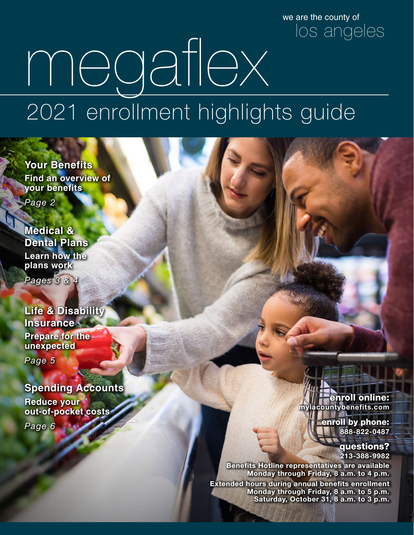we are the county of los angeles

# megaflex 2021 enrollment highlights guide

**Your Benefits Find an overview of your benefits**

*Page 2*

**Medical & Dental Plans Learn how the plans work** *Pages 3 & 4*

**Life & Disability Insurance Prepare for the unexpected**

*Page 5*

### **Spending Accounts**

**Reduce your out-of-pocket costs**

*Page 6*

enroll online: **mylacountybenefits.com**

> enroll by phone: **888-822-0487**

> > questions? **213-388-9982**

**Benefits Hotline representatives are available Monday through Friday, 8 a.m. to 4 p.m. Extended hours during annual benefits enrollment** 

**Monday through Friday, 8 a.m. to 5 p.m. Saturday, October 31,** 8 a.m. to 3 **p.m.**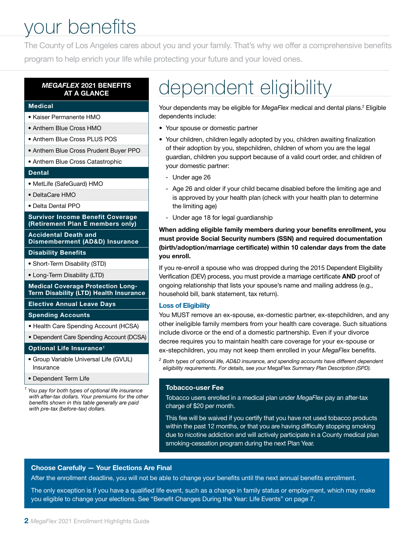### your benefits

The County of Los Angeles cares about you and your family. That's why we offer a comprehensive benefits program to help enrich your life while protecting your future and your loved ones.

#### *MEGAFLEX* 2021 BENEFITS AT A GLANCE

#### Medical

- Kaiser Permanente HMO
- Anthem Blue Cross HMO
- Anthem Blue Cross PLUS POS
- Anthem Blue Cross Prudent Buyer PPO
- Anthem Blue Cross Catastrophic

#### Dental

- MetLife (SafeGuard) HMO
- DeltaCare HMO
- Delta Dental PPO

#### Survivor Income Benefit Coverage (Retirement Plan E members only)

Accidental Death and Dismemberment (AD&D) Insurance

#### Disability Benefits

- Short-Term Disability (STD)
- Long-Term Disability (LTD)

Medical Coverage Protection Long-Term Disability (LTD) Health Insurance

Elective Annual Leave Days

#### Spending Accounts

- Health Care Spending Account (HCSA)
- Dependent Care Spending Account (DCSA)

#### Optional Life Insurance1

- Group Variable Universal Life (GVUL) Insurance
- Dependent Term Life

*1 You pay for both types of optional life insurance with after-tax dollars. Your premiums for the other benefits shown in this table generally are paid with pre-tax (before-tax) dollars.*

### dependent eligibility

Your dependents may be eligible for *MegaFlex* medical and dental plans.<sup>2</sup> Eligible dependents include:

- Your spouse or domestic partner
- Your children, children legally adopted by you, children awaiting finalization of their adoption by you, stepchildren, children of whom you are the legal guardian, children you support because of a valid court order, and children of your domestic partner:
	- Under age 26
	- Age 26 and older if your child became disabled before the limiting age and is approved by your health plan (check with your health plan to determine the limiting age)
	- Under age 18 for legal guardianship

When adding eligible family members during your benefits enrollment, you must provide Social Security numbers (SSN) and required documentation (birth/adoption/marriage certificate) within 10 calendar days from the date you enroll.

If you re-enroll a spouse who was dropped during the 2015 Dependent Eligibility Verification (DEV) process, you must provide a marriage certificate AND proof of ongoing relationship that lists your spouse's name and mailing address (e.g., household bill, bank statement, tax return).

#### Loss of Eligibility

You MUST remove an ex-spouse, ex-domestic partner, ex-stepchildren, and any other ineligible family members from your health care coverage. Such situations include divorce or the end of a domestic partnership. Even if your divorce decree requires you to maintain health care coverage for your ex-spouse or ex-stepchildren, you may not keep them enrolled in your *MegaFlex* benefits.

*<sup>2</sup> Both types of optional life, AD&D insurance, and spending accounts have different dependent eligibility requirements. For details, see your* MegaFlex *Summary Plan Description (SPD).*

#### Tobacco-user Fee

Tobacco users enrolled in a medical plan under *MegaFlex* pay an after-tax charge of \$20 per month.

This fee will be waived if you certify that you have not used tobacco products within the past 12 months, or that you are having difficulty stopping smoking due to nicotine addiction and will actively participate in a County medical plan smoking-cessation program during the next Plan Year.

#### Choose Carefully — Your Elections Are Final

After the enrollment deadline, you will not be able to change your benefits until the next annual benefits enrollment.

The only exception is if you have a qualified life event, such as a change in family status or employment, which may make you eligible to change your elections. See "Benefit Changes During the Year: Life Events" on page 7.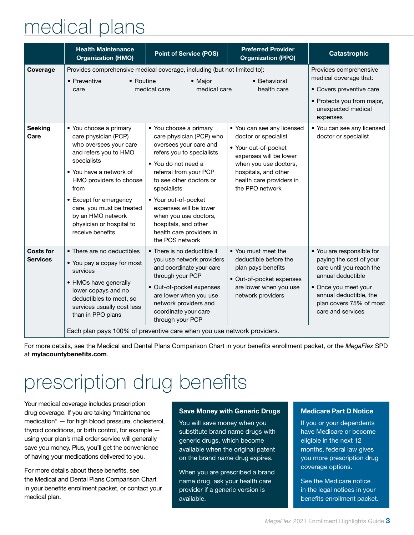### medical plans

|                                     | <b>Health Maintenance</b><br><b>Organization (HMO)</b>                                                                                                                                                                                                                                                     | <b>Point of Service (POS)</b>                                                                                                                                                                                                                                                                                                                          | <b>Preferred Provider</b><br><b>Organization (PPO)</b>                                                                                                                                               | <b>Catastrophic</b>                                                                                                                                                                                     |
|-------------------------------------|------------------------------------------------------------------------------------------------------------------------------------------------------------------------------------------------------------------------------------------------------------------------------------------------------------|--------------------------------------------------------------------------------------------------------------------------------------------------------------------------------------------------------------------------------------------------------------------------------------------------------------------------------------------------------|------------------------------------------------------------------------------------------------------------------------------------------------------------------------------------------------------|---------------------------------------------------------------------------------------------------------------------------------------------------------------------------------------------------------|
| Coverage                            | • Preventive<br>• Routine<br>care                                                                                                                                                                                                                                                                          | Provides comprehensive medical coverage, including (but not limited to):<br>• Major<br>medical care<br>medical care                                                                                                                                                                                                                                    | • Behavioral<br>health care                                                                                                                                                                          | Provides comprehensive<br>medical coverage that:<br>• Covers preventive care<br>• Protects you from major,<br>unexpected medical<br>expenses                                                            |
| <b>Seeking</b><br>Care              | • You choose a primary<br>care physician (PCP)<br>who oversees your care<br>and refers you to HMO<br>specialists<br>• You have a network of<br>HMO providers to choose<br>from<br>• Except for emergency<br>care, you must be treated<br>by an HMO network<br>physician or hospital to<br>receive benefits | • You choose a primary<br>care physician (PCP) who<br>oversees your care and<br>refers you to specialists<br>• You do not need a<br>referral from your PCP<br>to see other doctors or<br>specialists<br>• Your out-of-pocket<br>expenses will be lower<br>when you use doctors,<br>hospitals, and other<br>health care providers in<br>the POS network | • You can see any licensed<br>doctor or specialist<br>• Your out-of-pocket<br>expenses will be lower<br>when you use doctors,<br>hospitals, and other<br>health care providers in<br>the PPO network | • You can see any licensed<br>doctor or specialist                                                                                                                                                      |
| <b>Costs for</b><br><b>Services</b> | • There are no deductibles<br>• You pay a copay for most<br>services<br>• HMOs have generally<br>lower copays and no<br>deductibles to meet, so<br>services usually cost less<br>than in PPO plans                                                                                                         | • There is no deductible if<br>you use network providers<br>and coordinate your care<br>through your PCP<br>• Out-of-pocket expenses<br>are lower when you use<br>network providers and<br>coordinate your care<br>through your PCP<br>Each plan pays 100% of preventive care when you use network providers.                                          | • You must meet the<br>deductible before the<br>plan pays benefits<br>• Out-of-pocket expenses<br>are lower when you use<br>network providers                                                        | • You are responsible for<br>paying the cost of your<br>care until you reach the<br>annual deductible<br>• Once you meet your<br>annual deductible, the<br>plan covers 75% of most<br>care and services |

For more details, see the Medical and Dental Plans Comparison Chart in your benefits enrollment packet, or the *MegaFlex* SPD at mylacountybenefits.com.

### prescription drug benefits

Your medical coverage includes prescription drug coverage. If you are taking "maintenance medication" — for high blood pressure, cholesterol, thyroid conditions, or birth control, for example using your plan's mail order service will generally save you money. Plus, you'll get the convenience of having your medications delivered to you.

For more details about these benefits, see the Medical and Dental Plans Comparison Chart in your benefits enrollment packet, or contact your medical plan.

#### Save Money with Generic Drugs

You will save money when you substitute brand name drugs with generic drugs, which become available when the original patent on the brand name drug expires.

When you are prescribed a brand name drug, ask your health care provider if a generic version is available.

#### Medicare Part D Notice

If you or your dependents have Medicare or become eligible in the next 12 months, federal law gives you more prescription drug coverage options.

See the Medicare notice in the legal notices in your benefits enrollment packet.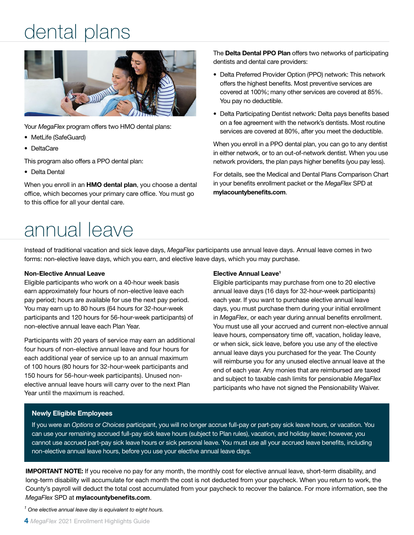### dental plans



Your *MegaFlex* program offers two HMO dental plans:

- MetLife (SafeGuard)
- DeltaCare

This program also offers a PPO dental plan:

• Delta Dental

When you enroll in an HMO dental plan, you choose a dental office, which becomes your primary care office. You must go to this office for all your dental care.

### annual leave

The Delta Dental PPO Plan offers two networks of participating dentists and dental care providers:

- Delta Preferred Provider Option (PPO) network: This network offers the highest benefits. Most preventive services are covered at 100%; many other services are covered at 85%. You pay no deductible.
- Delta Participating Dentist network: Delta pays benefits based on a fee agreement with the network's dentists. Most routine services are covered at 80%, after you meet the deductible.

When you enroll in a PPO dental plan, you can go to any dentist in either network, or to an out-of-network dentist. When you use network providers, the plan pays higher benefits (you pay less).

For details, see the Medical and Dental Plans Comparison Chart in your benefits enrollment packet or the *MegaFlex* SPD at mylacountybenefits.com.

Instead of traditional vacation and sick leave days, *MegaFlex* participants use annual leave days. Annual leave comes in two forms: non-elective leave days, which you earn, and elective leave days, which you may purchase.

#### Non-Elective Annual Leave

Eligible participants who work on a 40-hour week basis earn approximately four hours of non-elective leave each pay period; hours are available for use the next pay period. You may earn up to 80 hours (64 hours for 32-hour-week participants and 120 hours for 56-hour-week participants) of non-elective annual leave each Plan Year.

Participants with 20 years of service may earn an additional four hours of non-elective annual leave and four hours for each additional year of service up to an annual maximum of 100 hours (80 hours for 32-hour-week participants and 150 hours for 56-hour-week participants). Unused nonelective annual leave hours will carry over to the next Plan Year until the maximum is reached.

#### Elective Annual Leave1

Eligible participants may purchase from one to 20 elective annual leave days (16 days for 32-hour-week participants) each year. If you want to purchase elective annual leave days, you must purchase them during your initial enrollment in *MegaFlex*, or each year during annual benefits enrollment. You must use all your accrued and current non-elective annual leave hours, compensatory time off, vacation, holiday leave, or when sick, sick leave, before you use any of the elective annual leave days you purchased for the year. The County will reimburse you for any unused elective annual leave at the end of each year. Any monies that are reimbursed are taxed and subject to taxable cash limits for pensionable *MegaFlex* participants who have not signed the Pensionability Waiver.

#### Newly Eligible Employees

If you were an *Options* or *Choices* participant, you will no longer accrue full-pay or part-pay sick leave hours, or vacation. You can use your remaining accrued full-pay sick leave hours (subject to Plan rules), vacation, and holiday leave; however, you cannot use accrued part-pay sick leave hours or sick personal leave. You must use all your accrued leave benefits, including non-elective annual leave hours, before you use your elective annual leave days.

IMPORTANT NOTE: If you receive no pay for any month, the monthly cost for elective annual leave, short-term disability, and long-term disability will accumulate for each month the cost is not deducted from your paycheck. When you return to work, the County's payroll will deduct the total cost accumulated from your paycheck to recover the balance. For more information, see the *MegaFlex* SPD at mylacountybenefits.com.

*1 One elective annual leave day is equivalent to eight hours.*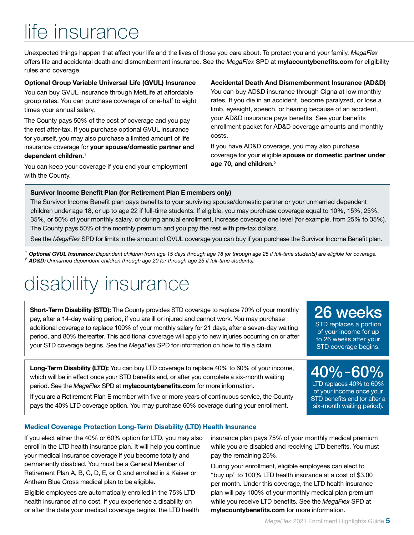## life insurance

Unexpected things happen that affect your life and the lives of those you care about. To protect you and your family, *MegaFlex* offers life and accidental death and dismemberment insurance. See the *MegaFlex* SPD at mylacountybenefits.com for eligibility rules and coverage.

#### Optional Group Variable Universal Life (GVUL) Insurance

You can buy GVUL insurance through MetLife at affordable group rates. You can purchase coverage of one-half to eight times your annual salary.

The County pays 50% of the cost of coverage and you pay the rest after-tax. If you purchase optional GVUL insurance for yourself, you may also purchase a limited amount of life insurance coverage for your spouse/domestic partner and dependent children.1

You can keep your coverage if you end your employment with the County.

#### Accidental Death And Dismemberment Insurance (AD&D)

You can buy AD&D insurance through Cigna at low monthly rates. If you die in an accident, become paralyzed, or lose a limb, eyesight, speech, or hearing because of an accident, your AD&D insurance pays benefits. See your benefits enrollment packet for AD&D coverage amounts and monthly costs.

If you have AD&D coverage, you may also purchase coverage for your eligible spouse or domestic partner under age 70, and children.<sup>2</sup>

#### Survivor Income Benefit Plan (for Retirement Plan E members only)

The Survivor Income Benefit plan pays benefits to your surviving spouse/domestic partner or your unmarried dependent children under age 18, or up to age 22 if full-time students. If eligible, you may purchase coverage equal to 10%, 15%, 25%, 35%, or 50% of your monthly salary, or during annual enrollment, increase coverage one level (for example, from 25% to 35%). The County pays 50% of the monthly premium and you pay the rest with pre-tax dollars.

See the *MegaFlex* SPD for limits in the amount of GVUL coverage you can buy if you purchase the Survivor Income Benefit plan.

*<sup>1</sup>* Optional GVUL Insurance: *Dependent children from age 15 days through age 18 (or through age 25 if full-time students) are eligible for coverage. <sup>2</sup>* AD&D: *Unmarried dependent children through age 20 (or through age 25 if full-time students).*

### disability insurance

**Short-Term Disability (STD):** The County provides STD coverage to replace 70% of your monthly pay, after a 14-day waiting period, if you are ill or injured and cannot work. You may purchase additional coverage to replace 100% of your monthly salary for 21 days, after a seven-day waiting period, and 80% thereafter. This additional coverage will apply to new injuries occurring on or after your STD coverage begins. See the *MegaFlex* SPD for information on how to file a claim.

Long-Term Disability (LTD): You can buy LTD coverage to replace 40% to 60% of your income, which will be in effect once your STD benefits end, or after you complete a six-month waiting period. See the *MegaFlex* SPD at mylacountybenefits.com for more information.

If you are a Retirement Plan E member with five or more years of continuous service, the County pays the 40% LTD coverage option. You may purchase 60% coverage during your enrollment.

26 weeks

STD replaces a portion of your income for up to 26 weeks after your STD coverage begins.

40%–60%

LTD replaces 40% to 60% of your income once your STD benefits end (or after a six-month waiting period).

#### Medical Coverage Protection Long-Term Disability (LTD) Health Insurance

If you elect either the 40% or 60% option for LTD, you may also enroll in the LTD health insurance plan. It will help you continue your medical insurance coverage if you become totally and permanently disabled. You must be a General Member of Retirement Plan A, B, C, D, E, or G and enrolled in a Kaiser or Anthem Blue Cross medical plan to be eligible.

Eligible employees are automatically enrolled in the 75% LTD health insurance at no cost. If you experience a disability on or after the date your medical coverage begins, the LTD health insurance plan pays 75% of your monthly medical premium while you are disabled and receiving LTD benefits. You must pay the remaining 25%.

During your enrollment, eligible employees can elect to "buy up" to 100% LTD health insurance at a cost of \$3.00 per month. Under this coverage, the LTD health insurance plan will pay 100% of your monthly medical plan premium while you receive LTD benefits. See the *MegaFlex* SPD at mylacountybenefits.com for more information.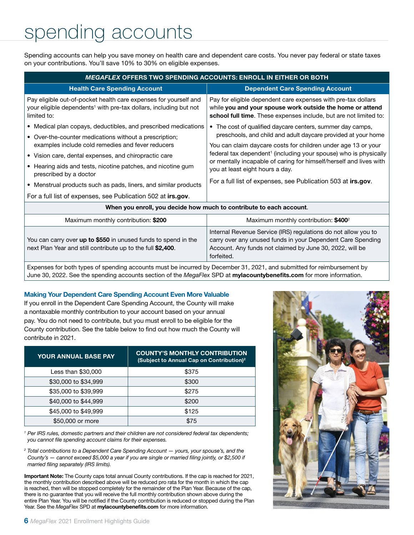### spending accounts

Spending accounts can help you save money on health care and dependent care costs. You never pay federal or state taxes on your contributions. You'll save 10% to 30% on eligible expenses.

| <b>MEGAFLEX OFFERS TWO SPENDING ACCOUNTS: ENROLL IN EITHER OR BOTH</b>                                                                                           |                                                                                                                                                                                                 |  |  |  |  |  |
|------------------------------------------------------------------------------------------------------------------------------------------------------------------|-------------------------------------------------------------------------------------------------------------------------------------------------------------------------------------------------|--|--|--|--|--|
| <b>Health Care Spending Account</b>                                                                                                                              | <b>Dependent Care Spending Account</b>                                                                                                                                                          |  |  |  |  |  |
| Pay eligible out-of-pocket health care expenses for yourself and<br>your eligible dependents <sup>1</sup> with pre-tax dollars, including but not<br>limited to: | Pay for eligible dependent care expenses with pre-tax dollars<br>while you and your spouse work outside the home or attend<br>school full time. These expenses include, but are not limited to: |  |  |  |  |  |
| • Medical plan copays, deductibles, and prescribed medications                                                                                                   | The cost of qualified daycare centers, summer day camps,<br>٠<br>preschools, and child and adult daycare provided at your home                                                                  |  |  |  |  |  |
| • Over-the-counter medications without a prescription;                                                                                                           |                                                                                                                                                                                                 |  |  |  |  |  |
| examples include cold remedies and fever reducers<br>• Vision care, dental expenses, and chiropractic care                                                       | You can claim daycare costs for children under age 13 or your<br>federal tax dependent <sup>1</sup> (including your spouse) who is physically                                                   |  |  |  |  |  |
| • Hearing aids and tests, nicotine patches, and nicotine gum<br>prescribed by a doctor                                                                           | or mentally incapable of caring for himself/herself and lives with<br>you at least eight hours a day.<br>For a full list of expenses, see Publication 503 at irs.gov.                           |  |  |  |  |  |
| • Menstrual products such as pads, liners, and similar products                                                                                                  |                                                                                                                                                                                                 |  |  |  |  |  |
| For a full list of expenses, see Publication 502 at irs.gov.                                                                                                     |                                                                                                                                                                                                 |  |  |  |  |  |
| When you enroll, you decide how much to contribute to each account.                                                                                              |                                                                                                                                                                                                 |  |  |  |  |  |
| Maximum monthly contribution: \$200                                                                                                                              | Maximum monthly contribution: \$400 <sup>2</sup>                                                                                                                                                |  |  |  |  |  |
| You can carry over up to \$550 in unused funds to spend in the<br>next Plan Year and still contribute up to the full \$2,400.                                    | Internal Revenue Service (IRS) regulations do not allow you to<br>carry over any unused funds in your Dependent Care Spending<br>Account. Any funds not claimed by June 30, 2022, will be       |  |  |  |  |  |

Expenses for both types of spending accounts must be incurred by December 31, 2021, and submitted for reimbursement by June 30, 2022. See the spending accounts section of the *MegaFlex* SPD at mylacountybenefits.com for more information.

forfeited.

#### Making Your Dependent Care Spending Account Even More Valuable

If you enroll in the Dependent Care Spending Account, the County will make a nontaxable monthly contribution to your account based on your annual pay. You do not need to contribute, but you must enroll to be eligible for the County contribution. See the table below to find out how much the County will contribute in 2021.

| <b>YOUR ANNUAL BASE PAY</b> | <b>COUNTY'S MONTHLY CONTRIBUTION</b><br>(Subject to Annual Cap on Contribution) <sup>2</sup> |
|-----------------------------|----------------------------------------------------------------------------------------------|
| Less than \$30,000          | \$375                                                                                        |
| \$30,000 to \$34,999        | \$300                                                                                        |
| \$35,000 to \$39,999        | \$275                                                                                        |
| \$40,000 to \$44,999        | \$200                                                                                        |
| \$45,000 to \$49,999        | \$125                                                                                        |
| \$50,000 or more            | \$75                                                                                         |

*1 Per IRS rules, domestic partners and their children are not considered federal tax dependents; you cannot file spending account claims for their expenses.*

*<sup>2</sup> Total contributions to a Dependent Care Spending Account — yours, your spouse's, and the County's — cannot exceed \$5,000 a year if you are single or married filing jointly, or \$2,500 if married filing separately (IRS limits).*

Important Note: The County caps total annual County contributions. If the cap is reached for 2021, the monthly contribution described above will be reduced pro rata for the month in which the cap is reached, then will be stopped completely for the remainder of the Plan Year. Because of the cap, there is no guarantee that you will receive the full monthly contribution shown above during the entire Plan Year. You will be notified if the County contribution is reduced or stopped during the Plan Year. See the *MegaFlex* SPD at mylacountybenefits.com for more information.

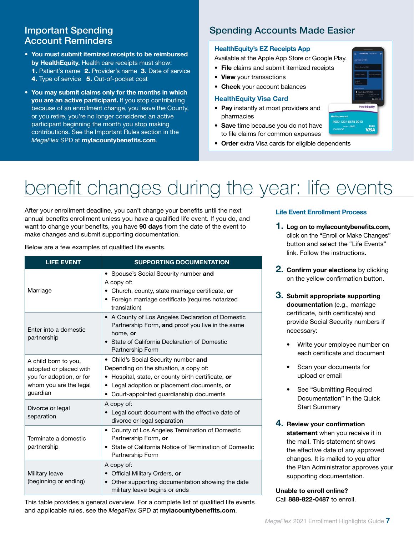### Account Reminders

- You must submit itemized receipts to be reimbursed by HealthEquity. Health care receipts must show: 1. Patient's name 2. Provider's name 3. Date of service 4. Type of service 5. Out-of-pocket cost
- You may submit claims only for the months in which you are an active participant. If you stop contributing because of an enrollment change, you leave the County, or you retire, you're no longer considered an active participant beginning the month you stop making contributions. See the Important Rules section in the *MegaFlex* SPD at mylacountybenefits.com.

### **Important Spending Community Spending Accounts Made Easier**

#### HealthEquity's EZ Receipts App

Available at the Apple App Store or Google Play.

- File claims and submit itemized receipts
- View your transactions
- Check your account balances

#### HealthEquity Visa Card

- Pay instantly at most providers and pharmacies
- Save time because you do not have to file claims for common expenses
- Order extra Visa cards for eligible dependents

# benefit changes during the year: life events

After your enrollment deadline, you can't change your benefits until the next annual benefits enrollment unless you have a qualified life event. If you do, and want to change your benefits, you have 90 days from the date of the event to make changes and submit supporting documentation.

Below are a few examples of qualified life events.

| <b>LIFE EVENT</b>                                                                                                | <b>SUPPORTING DOCUMENTATION</b>                                                                                                                                                                                           |  |  |
|------------------------------------------------------------------------------------------------------------------|---------------------------------------------------------------------------------------------------------------------------------------------------------------------------------------------------------------------------|--|--|
| Marriage                                                                                                         | • Spouse's Social Security number and<br>A copy of:<br>• Church, county, state marriage certificate, or<br>• Foreign marriage certificate (requires notarized<br>translation)                                             |  |  |
| Enter into a domestic<br>partnership                                                                             | • A County of Los Angeles Declaration of Domestic<br>Partnership Form, and proof you live in the same<br>home, or<br>State of California Declaration of Domestic<br>Partnership Form                                      |  |  |
| A child born to you,<br>adopted or placed with<br>you for adoption, or for<br>whom you are the legal<br>guardian | • Child's Social Security number and<br>Depending on the situation, a copy of:<br>Hospital, state, or county birth certificate, or<br>Legal adoption or placement documents, or<br>Court-appointed guardianship documents |  |  |
| Divorce or legal<br>separation                                                                                   | A copy of:<br>Legal court document with the effective date of<br>divorce or legal separation                                                                                                                              |  |  |
| Terminate a domestic<br>partnership                                                                              | • County of Los Angeles Termination of Domestic<br>Partnership Form, or<br>• State of California Notice of Termination of Domestic<br>Partnership Form                                                                    |  |  |
| Military leave<br>(beginning or ending)                                                                          | A copy of:<br>Official Military Orders, or<br>Other supporting documentation showing the date<br>military leave begins or ends                                                                                            |  |  |

This table provides a general overview. For a complete list of qualified life events and applicable rules, see the *MegaFlex* SPD at mylacountybenefits.com.

#### Life Event Enrollment Process

- 1. Log on to mylacountybenefits.com, click on the "Enroll or Make Changes" button and select the "Life Events" link. Follow the instructions.
- **2. Confirm your elections** by clicking on the yellow confirmation button.
- 3. Submit appropriate supporting documentation (e.g., marriage certificate, birth certificate) and provide Social Security numbers if necessary:
	- Write your employee number on each certificate and document
	- Scan your documents for upload or email
	- See "Submitting Required Documentation" in the Quick Start Summary
- 4. Review your confirmation statement when you receive it in the mail. This statement shows the effective date of any approved changes. It is mailed to you after the Plan Administrator approves your supporting documentation.

Unable to enroll online? Call 888-822-0487 to enroll.